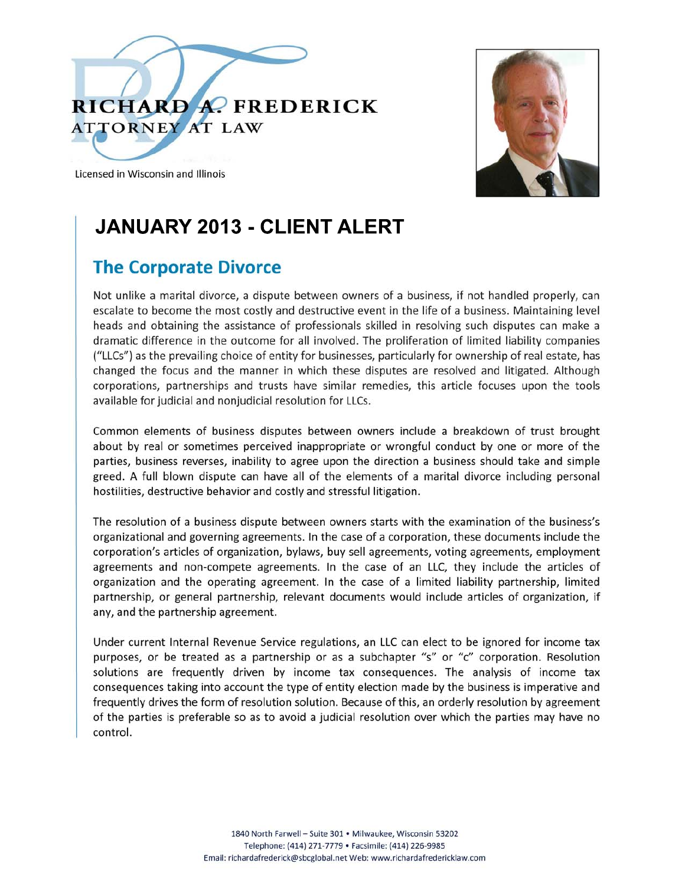



Licensed in Wisconsin and Illinois

### **JANUARY 2013 - CLIENT ALERT**

### **The Corporate Divorce**

Not unlike a marital divorce, a dispute between owners of a business, if not handled properly, can escalate to become the most costly and destructive event in the life of a business. Maintaining level heads and obtaining the assistance of professionals skilled in resolving such disputes can make a dramatic difference in the outcome for all involved. The proliferation of limited liability companies ("LLCs") as the prevailing choice of entity for businesses, particularly for ownership of real estate, has changed the focus and the manner in which these disputes are resolved and litigated. Although corporations, partnerships and trusts have similar remedies, this article focuses upon the tools available for judicial and nonjudicial resolution for LLCs.

Common elements of business disputes between owners include a breakdown of trust brought about by real or sometimes perceived inappropriate or wrongful conduct by one or more of the parties, business reverses, inability to agree upon the direction a business should take and simple greed. A full blown dispute can have all of the elements of a marital divorce including personal hostilities, destructive behavior and costly and stressful litigation.

The resolution of a business dispute between owners starts with the examination of the business's organizational and governing agreements. In the case of a corporation, these documents include the corporation's articles of organization, bylaws, buy sell agreements, voting agreements, employment agreements and non-compete agreements. In the case of an LLC, they include the articles of organization and the operating agreement. In the case of a limited liability partnership, limited partnership, or general partnership, relevant documents would include articles of organization, if any, and the partnership agreement.

Under current Internal Revenue Service regulations, an LLC can elect to be ignored for income tax purposes, or be treated as a partnership or as a subchapter "s" or "c" corporation. Resolution solutions are frequently driven by income tax consequences. The analysis of income tax consequences taking into account the type of entity election made by the business is imperative and frequently drives the form of resolution solution. Because of this, an orderly resolution by agreement of the parties is preferable so as to avoid a judicial resolution over which the parties may have no control.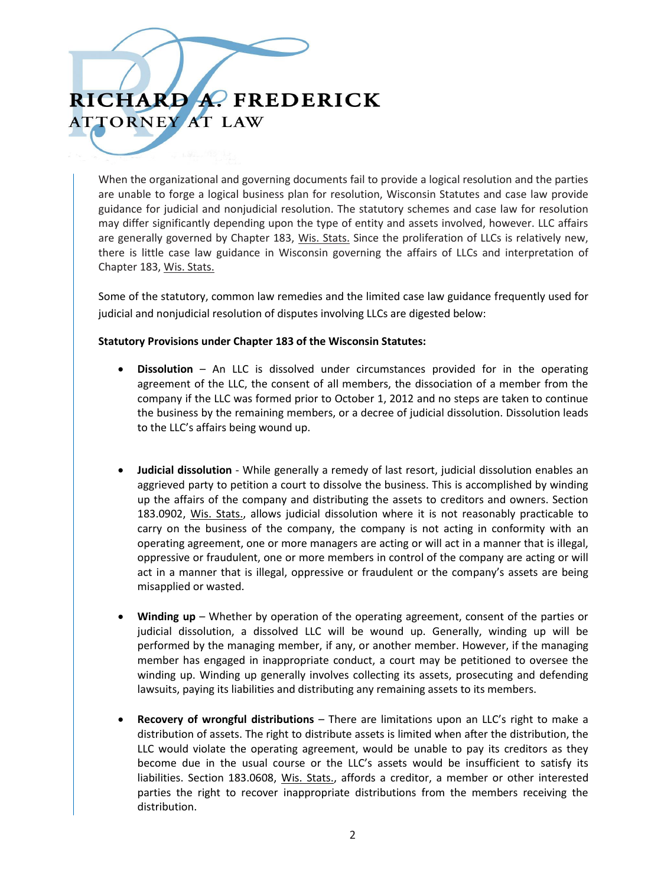When the organizational and governing documents fail to provide a logical resolution and the parties are unable to forge a logical business plan for resolution, Wisconsin Statutes and case law provide guidance for judicial and nonjudicial resolution. The statutory schemes and case law for resolution may differ significantly depending upon the type of entity and assets involved, however. LLC affairs are generally governed by Chapter 183, Wis. Stats. Since the proliferation of LLCs is relatively new, there is little case law guidance in Wisconsin governing the affairs of LLCs and interpretation of Chapter 183, Wis. Stats.

Some of the statutory, common law remedies and the limited case law guidance frequently used for judicial and nonjudicial resolution of disputes involving LLCs are digested below:

#### **Statutory Provisions under Chapter 183 of the Wisconsin Statutes:**

- **Dissolution** An LLC is dissolved under circumstances provided for in the operating agreement of the LLC, the consent of all members, the dissociation of a member from the company if the LLC was formed prior to October 1, 2012 and no steps are taken to continue the business by the remaining members, or a decree of judicial dissolution. Dissolution leads to the LLC's affairs being wound up.
- **Judicial dissolution** While generally a remedy of last resort, judicial dissolution enables an aggrieved party to petition a court to dissolve the business. This is accomplished by winding up the affairs of the company and distributing the assets to creditors and owners. Section 183.0902, Wis. Stats., allows judicial dissolution where it is not reasonably practicable to carry on the business of the company, the company is not acting in conformity with an operating agreement, one or more managers are acting or will act in a manner that is illegal, oppressive or fraudulent, one or more members in control of the company are acting or will act in a manner that is illegal, oppressive or fraudulent or the company's assets are being misapplied or wasted.
- **Winding up** Whether by operation of the operating agreement, consent of the parties or judicial dissolution, a dissolved LLC will be wound up. Generally, winding up will be performed by the managing member, if any, or another member. However, if the managing member has engaged in inappropriate conduct, a court may be petitioned to oversee the winding up. Winding up generally involves collecting its assets, prosecuting and defending lawsuits, paying its liabilities and distributing any remaining assets to its members.
- **Recovery of wrongful distributions** There are limitations upon an LLC's right to make a distribution of assets. The right to distribute assets is limited when after the distribution, the LLC would violate the operating agreement, would be unable to pay its creditors as they become due in the usual course or the LLC's assets would be insufficient to satisfy its liabilities. Section 183.0608, Wis. Stats., affords a creditor, a member or other interested parties the right to recover inappropriate distributions from the members receiving the distribution.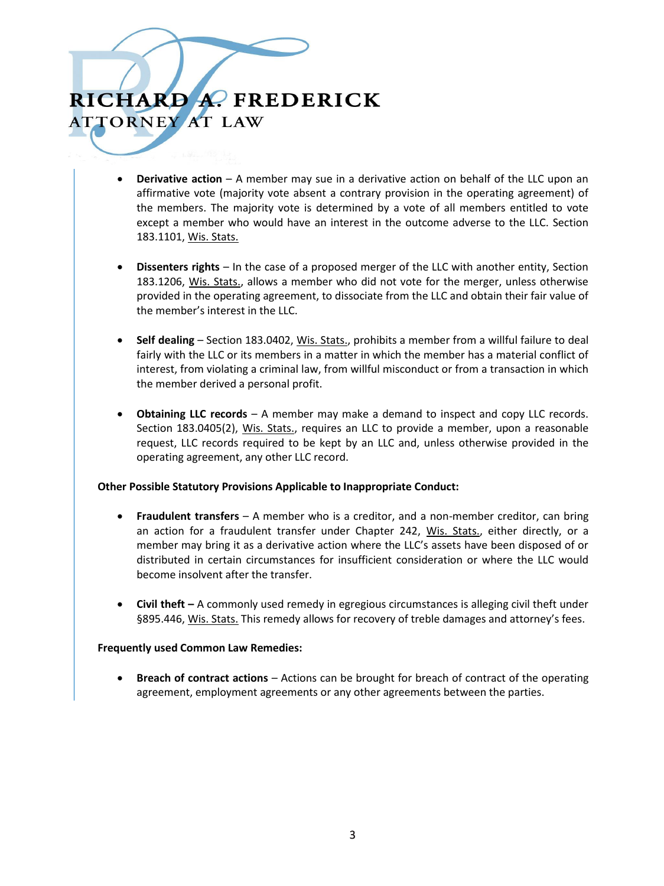- **Derivative action** A member may sue in a derivative action on behalf of the LLC upon an affirmative vote (majority vote absent a contrary provision in the operating agreement) of the members. The majority vote is determined by a vote of all members entitled to vote except a member who would have an interest in the outcome adverse to the LLC. Section 183.1101, Wis. Stats.
- **Dissenters rights**  In the case of a proposed merger of the LLC with another entity, Section 183.1206, Wis. Stats., allows a member who did not vote for the merger, unless otherwise provided in the operating agreement, to dissociate from the LLC and obtain their fair value of the member's interest in the LLC.
- **Self dealing** Section 183.0402, Wis. Stats., prohibits a member from a willful failure to deal fairly with the LLC or its members in a matter in which the member has a material conflict of interest, from violating a criminal law, from willful misconduct or from a transaction in which the member derived a personal profit.
- **Obtaining LLC records** A member may make a demand to inspect and copy LLC records. Section 183.0405(2), Wis. Stats., requires an LLC to provide a member, upon a reasonable request, LLC records required to be kept by an LLC and, unless otherwise provided in the operating agreement, any other LLC record.

#### **Other Possible Statutory Provisions Applicable to Inappropriate Conduct:**

- **Fraudulent transfers** A member who is a creditor, and a non-member creditor, can bring an action for a fraudulent transfer under Chapter 242, Wis. Stats., either directly, or a member may bring it as a derivative action where the LLC's assets have been disposed of or distributed in certain circumstances for insufficient consideration or where the LLC would become insolvent after the transfer.
- **Civil theft –** A commonly used remedy in egregious circumstances is alleging civil theft under §895.446, Wis. Stats. This remedy allows for recovery of treble damages and attorney's fees.

#### **Frequently used Common Law Remedies:**

 **Breach of contract actions** – Actions can be brought for breach of contract of the operating agreement, employment agreements or any other agreements between the parties.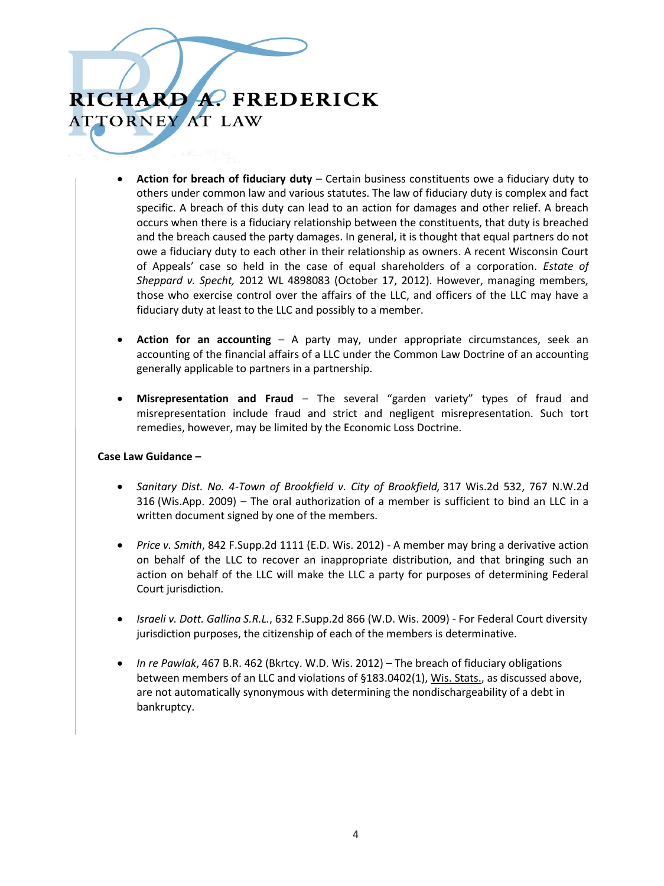- **Action for breach of fiduciary duty** Certain business constituents owe a fiduciary duty to others under common law and various statutes. The law of fiduciary duty is complex and fact specific. A breach of this duty can lead to an action for damages and other relief. A breach occurs when there is a fiduciary relationship between the constituents, that duty is breached and the breach caused the party damages. In general, it is thought that equal partners do not owe a fiduciary duty to each other in their relationship as owners. A recent Wisconsin Court of Appeals' case so held in the case of equal shareholders of a corporation. *Estate of Sheppard v. Specht,* 2012 WL 4898083 (October 17, 2012). However, managing members, those who exercise control over the affairs of the LLC, and officers of the LLC may have a fiduciary duty at least to the LLC and possibly to a member.
- **Action for an accounting**  A party may, under appropriate circumstances, seek an accounting of the financial affairs of a LLC under the Common Law Doctrine of an accounting generally applicable to partners in a partnership.
- **Misrepresentation and Fraud** The several "garden variety" types of fraud and misrepresentation include fraud and strict and negligent misrepresentation. Such tort remedies, however, may be limited by the Economic Loss Doctrine.

#### **Case Law Guidance –**

- *Sanitary Dist. No. 4-Town of Brookfield v. City of Brookfield,* 317 Wis.2d 532, 767 N.W.2d 316 (Wis.App. 2009) – The oral authorization of a member is sufficient to bind an LLC in a written document signed by one of the members.
- *Price v. Smith*, 842 F.Supp.2d 1111 (E.D. Wis. 2012) A member may bring a derivative action on behalf of the LLC to recover an inappropriate distribution, and that bringing such an action on behalf of the LLC will make the LLC a party for purposes of determining Federal Court jurisdiction.
- *Israeli v. Dott. Gallina S.R.L.*, 632 F.Supp.2d 866 (W.D. Wis. 2009) For Federal Court diversity jurisdiction purposes, the citizenship of each of the members is determinative.
- *In re Pawlak*, 467 B.R. 462 (Bkrtcy. W.D. Wis. 2012) The breach of fiduciary obligations between members of an LLC and violations of §183.0402(1), Wis. Stats., as discussed above, are not automatically synonymous with determining the nondischargeability of a debt in bankruptcy.